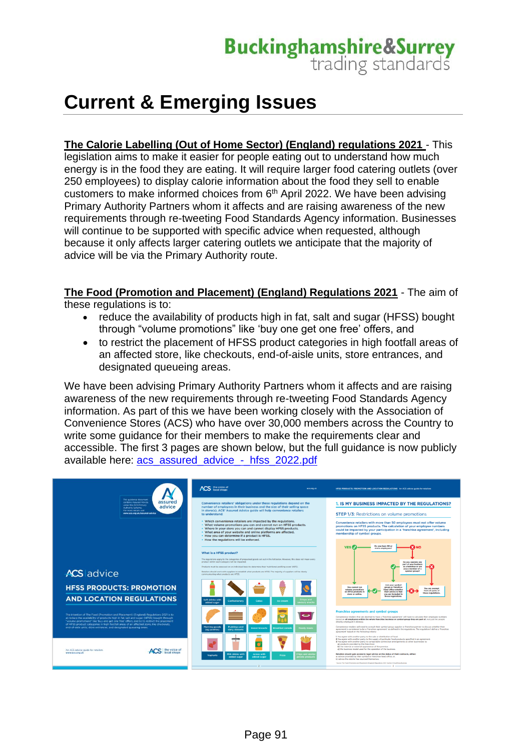**Current & Emerging Issues** 

**The Calorie Labelling (Out of Home Sector) (England) regulations 2021** - This

legislation aims to make it easier for people eating out to understand how much energy is in the food they are eating. It will require larger food catering outlets (over 250 employees) to display calorie information about the food they sell to enable customers to make informed choices from 6<sup>th</sup> April 2022. We have been advising Primary Authority Partners whom it affects and are raising awareness of the new requirements through re-tweeting Food Standards Agency information. Businesses will continue to be supported with specific advice when requested, although because it only affects larger catering outlets we anticipate that the majority of advice will be via the Primary Authority route.

**The Food (Promotion and Placement) (England) Regulations 2021** - The aim of these regulations is to:

- reduce the availability of products high in fat, salt and sugar (HFSS) bought through "volume promotions" like 'buy one get one free' offers, and
- to restrict the placement of HFSS product categories in high footfall areas of an affected store, like checkouts, end-of-aisle units, store entrances, and designated queueing areas.

We have been advising Primary Authority Partners whom it affects and are raising awareness of the new requirements through re-tweeting Food Standards Agency information. As part of this we have been working closely with the Association of Convenience Stores (ACS) who have over 30,000 members across the Country to write some quidance for their members to make the requirements clear and accessible. The first 3 pages are shown below, but the full guidance is now publicly available here: [acs\\_assured\\_advice\\_-\\_hfss\\_2022.pdf](https://www.acs.org.uk/sites/default/files/acs_assured_advice_-_hfss_2022.pdf)

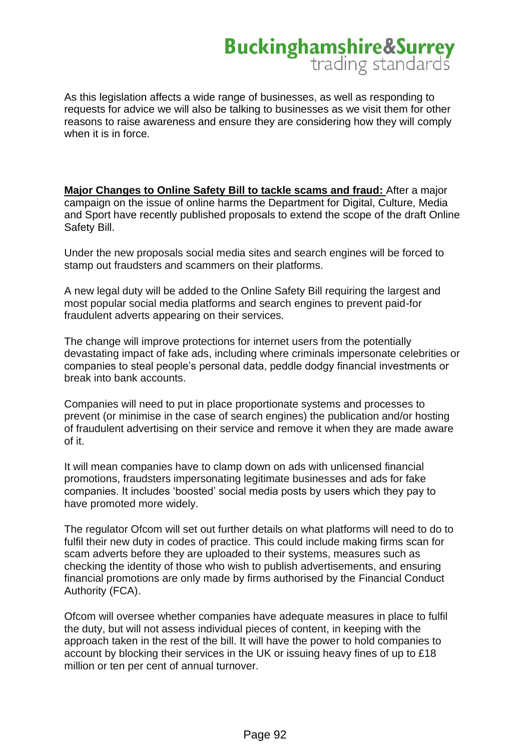As this legislation affects a wide range of businesses, as well as responding to requests for advice we will also be talking to businesses as we visit them for other reasons to raise awareness and ensure they are considering how they will comply when it is in force.

**Major Changes to Online Safety Bill to tackle scams and fraud:** After a major campaign on the issue of online harms the Department for Digital, Culture, Media and Sport have recently published proposals to extend the scope of the draft Online Safety Bill.

Under the new proposals social media sites and search engines will be forced to stamp out fraudsters and scammers on their platforms.

A new legal duty will be added to the Online Safety Bill requiring the largest and most popular social media platforms and search engines to prevent paid-for fraudulent adverts appearing on their services.

The change will improve protections for internet users from the potentially devastating impact of fake ads, including where criminals impersonate celebrities or companies to steal people's personal data, peddle dodgy financial investments or break into bank accounts.

Companies will need to put in place proportionate systems and processes to prevent (or minimise in the case of search engines) the publication and/or hosting of fraudulent advertising on their service and remove it when they are made aware of it.

It will mean companies have to clamp down on ads with unlicensed financial promotions, fraudsters impersonating legitimate businesses and ads for fake companies. It includes 'boosted' social media posts by users which they pay to have promoted more widely.

The regulator Ofcom will set out further details on what platforms will need to do to fulfil their new duty in codes of practice. This could include making firms scan for scam adverts before they are uploaded to their systems, measures such as checking the identity of those who wish to publish advertisements, and ensuring financial promotions are only made by firms authorised by the Financial Conduct Authority (FCA).

Ofcom will oversee whether companies have adequate measures in place to fulfil the duty, but will not assess individual pieces of content, in keeping with the approach taken in the rest of the bill. It will have the power to hold companies to account by blocking their services in the UK or issuing heavy fines of up to £18 million or ten per cent of annual turnover.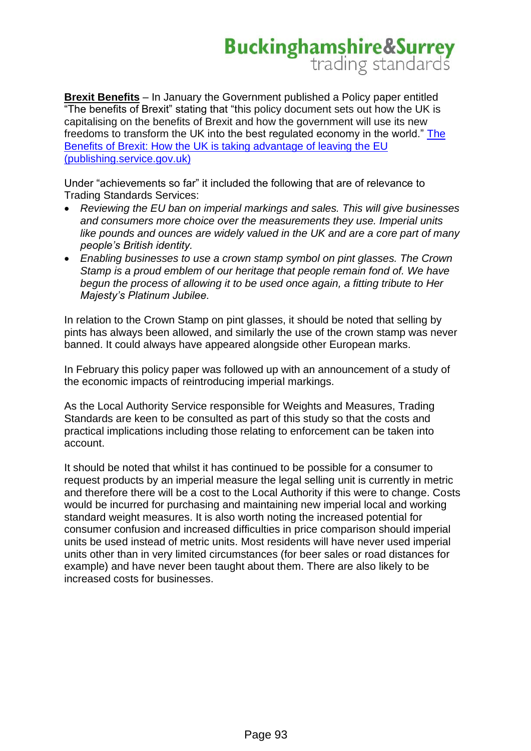**Brexit Benefits** – In January the Government published a Policy paper entitled "The benefits of Brexit" stating that "this policy document sets out how the UK is capitalising on the benefits of Brexit and how the government will use its new freedoms to transform the UK into the best regulated economy in the world." [The](https://assets.publishing.service.gov.uk/government/uploads/system/uploads/attachment_data/file/1054643/benefits-of-brexit.pdf)  [Benefits of Brexit: How the UK is taking advantage of leaving the EU](https://assets.publishing.service.gov.uk/government/uploads/system/uploads/attachment_data/file/1054643/benefits-of-brexit.pdf)  [\(publishing.service.gov.uk\)](https://assets.publishing.service.gov.uk/government/uploads/system/uploads/attachment_data/file/1054643/benefits-of-brexit.pdf)

Under "achievements so far" it included the following that are of relevance to Trading Standards Services:

- *Reviewing the EU ban on imperial markings and sales. This will give businesses and consumers more choice over the measurements they use. Imperial units like pounds and ounces are widely valued in the UK and are a core part of many people's British identity.*
- *Enabling businesses to use a crown stamp symbol on pint glasses. The Crown Stamp is a proud emblem of our heritage that people remain fond of. We have begun the process of allowing it to be used once again, a fitting tribute to Her Majesty's Platinum Jubilee.*

In relation to the Crown Stamp on pint glasses, it should be noted that selling by pints has always been allowed, and similarly the use of the crown stamp was never banned. It could always have appeared alongside other European marks.

In February this policy paper was followed up with an announcement of a study of the economic impacts of reintroducing imperial markings.

As the Local Authority Service responsible for Weights and Measures, Trading Standards are keen to be consulted as part of this study so that the costs and practical implications including those relating to enforcement can be taken into account.

It should be noted that whilst it has continued to be possible for a consumer to request products by an imperial measure the legal selling unit is currently in metric and therefore there will be a cost to the Local Authority if this were to change. Costs would be incurred for purchasing and maintaining new imperial local and working standard weight measures. It is also worth noting the increased potential for consumer confusion and increased difficulties in price comparison should imperial units be used instead of metric units. Most residents will have never used imperial units other than in very limited circumstances (for beer sales or road distances for example) and have never been taught about them. There are also likely to be increased costs for businesses.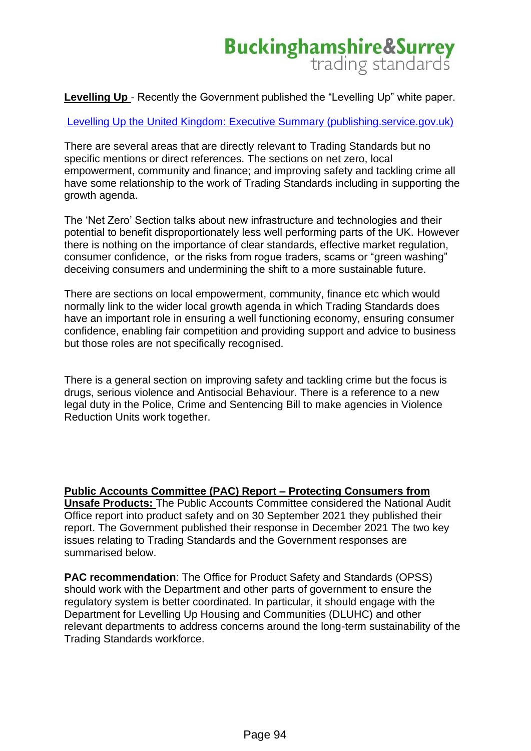**Levelling Up** - Recently the Government published the "Levelling Up" white paper.

[Levelling Up the United Kingdom: Executive Summary \(publishing.service.gov.uk\)](https://assets.publishing.service.gov.uk/government/uploads/system/uploads/attachment_data/file/1052046/Executive_Summary.pdf)

There are several areas that are directly relevant to Trading Standards but no specific mentions or direct references. The sections on net zero, local empowerment, community and finance; and improving safety and tackling crime all have some relationship to the work of Trading Standards including in supporting the growth agenda.

The 'Net Zero' Section talks about new infrastructure and technologies and their potential to benefit disproportionately less well performing parts of the UK. However there is nothing on the importance of clear standards, effective market regulation, consumer confidence, or the risks from rogue traders, scams or "green washing" deceiving consumers and undermining the shift to a more sustainable future.

There are sections on local empowerment, community, finance etc which would normally link to the wider local growth agenda in which Trading Standards does have an important role in ensuring a well functioning economy, ensuring consumer confidence, enabling fair competition and providing support and advice to business but those roles are not specifically recognised.

There is a general section on improving safety and tackling crime but the focus is drugs, serious violence and Antisocial Behaviour. There is a reference to a new legal duty in the Police, Crime and Sentencing Bill to make agencies in Violence Reduction Units work together.

**Public Accounts Committee (PAC) Report – Protecting Consumers from Unsafe Products:** The Public Accounts Committee considered the National Audit Office report into product safety and on 30 September 2021 they published their report. The Government published their response in December 2021 The two key issues relating to Trading Standards and the Government responses are summarised below.

**PAC recommendation**: The Office for Product Safety and Standards (OPSS) should work with the Department and other parts of government to ensure the regulatory system is better coordinated. In particular, it should engage with the Department for Levelling Up Housing and Communities (DLUHC) and other relevant departments to address concerns around the long-term sustainability of the Trading Standards workforce.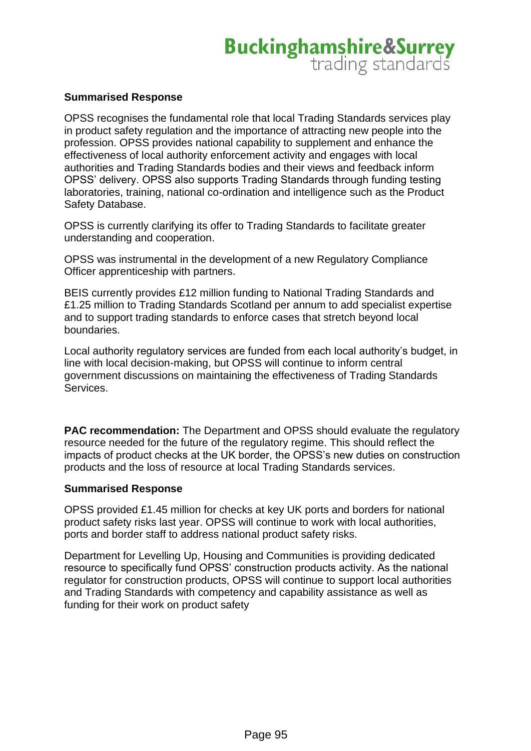#### **Summarised Response**

OPSS recognises the fundamental role that local Trading Standards services play in product safety regulation and the importance of attracting new people into the profession. OPSS provides national capability to supplement and enhance the effectiveness of local authority enforcement activity and engages with local authorities and Trading Standards bodies and their views and feedback inform OPSS' delivery. OPSS also supports Trading Standards through funding testing laboratories, training, national co-ordination and intelligence such as the Product Safety Database.

OPSS is currently clarifying its offer to Trading Standards to facilitate greater understanding and cooperation.

OPSS was instrumental in the development of a new Regulatory Compliance Officer apprenticeship with partners.

BEIS currently provides £12 million funding to National Trading Standards and £1.25 million to Trading Standards Scotland per annum to add specialist expertise and to support trading standards to enforce cases that stretch beyond local boundaries.

Local authority regulatory services are funded from each local authority's budget, in line with local decision-making, but OPSS will continue to inform central government discussions on maintaining the effectiveness of Trading Standards Services.

**PAC recommendation:** The Department and OPSS should evaluate the regulatory resource needed for the future of the regulatory regime. This should reflect the impacts of product checks at the UK border, the OPSS's new duties on construction products and the loss of resource at local Trading Standards services.

#### **Summarised Response**

OPSS provided £1.45 million for checks at key UK ports and borders for national product safety risks last year. OPSS will continue to work with local authorities, ports and border staff to address national product safety risks.

Department for Levelling Up, Housing and Communities is providing dedicated resource to specifically fund OPSS' construction products activity. As the national regulator for construction products, OPSS will continue to support local authorities and Trading Standards with competency and capability assistance as well as funding for their work on product safety